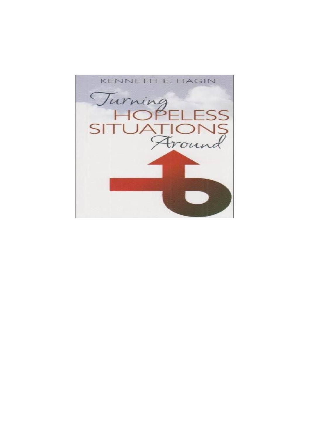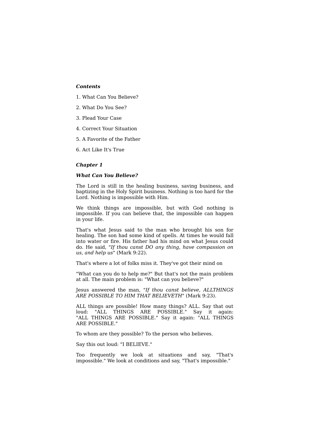## *Contents*

- 1. What Can You Believe?
- 2. What Do You See?
- 3. Plead Your Case
- 4. Correct Your Situation
- 5. A Favorite of the Father
- 6. Act Like It's True

#### *Chapter 1*

## *What Can You Believe?*

The Lord is still in the healing business, saving business, and baptizing in the Holy Spirit business. Nothing is too hard for the Lord. Nothing is impossible with Him.

We think things are impossible, but with God nothing is impossible. If you can believe that, the impossible can happen in your life.

That's what Jesus said to the man who brought his son for healing. The son had some kind of spells. At times he would fall into water or fire. His father had his mind on what Jesus could do. He said, *"If thou canst DO any thing, have compassion on us, and help us"* (Mark 9:22).

That's where a lot of folks miss it. They've got their mind on

"What can you do to help me?" But that's not the main problem at all. The main problem is: "What can you believe?"

Jesus answered the man, *"If thou canst believe, ALLTHINGS ARE POSSIBLE TO HIM THAT BELIEVETH"* (Mark 9:23).

ALL things are possible! How many things? ALL. Say that out loud: "ALL THINGS ARE POSSIBLE." Say it again: "ALL THINGS ARE POSSIBLE." Say it again: "ALL THINGS ARE POSSIBLE."

To whom are they possible? To the person who believes.

Say this out loud: "I BELIEVE."

Too frequently we look at situations and say, "That's impossible." We look at conditions and say, "That's impossible."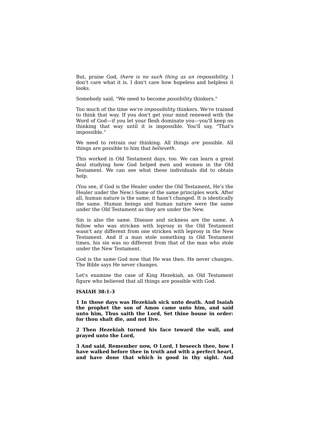But, praise God, *there is no such thing as an impossibility.* I don't care what it is. I don't care how hopeless and helpless it looks.

Somebody said, "We need to become *possibility* thinkers."

Too much of the time we're *impossibility* thinkers. We're trained to think that way. If you don't get your mind renewed with the Word of God—if you let your flesh dominate you—you'll keep on thinking that way until it is impossible. You'll say, "That's impossible."

We need to retrain our thinking. All things *are* possible. All things are possible to him that *believeth.*

This worked in Old Testament days, too. We can learn a great deal studying how God helped men and women in the Old Testament. We can see what these individuals did to obtain help.

(You see, if God is the Healer under the Old Testament, He's the Healer under the New.) Some of the same principles work. After all, human nature is the same; it hasn't changed. It is identically the same. Human beings and human nature were the same under the Old Testament as they are under the New.

Sin is also the same. Disease and sickness are the same. A fellow who was stricken with leprosy in the Old Testament wasn't any different from one stricken with leprosy in the New Testament. And if a man stole something in Old Testament times, his sin was no different from that of the man who stole under the New Testament.

God is the same God now that He was then. He never changes. The Bible says He never changes.

Let's examine the case of King Hezekiah, an Old Testament figure who believed that all things are possible with God.

#### **ISAIAH 38:1-3**

**1 In those days was Hezekiah sick unto death. And Isaiah the prophet the son of Amos came unto him, and said unto him, Thus saith the Lord, Set thine house in order: for thou shalt die, and not live.**

**2 Then Hezekiah turned his face toward the wall, and prayed unto the Lord,**

**3 And said, Remember now, O Lord, I beseech thee, how I have walked before thee in truth and with a perfect heart, and have done that which is good in thy sight. And**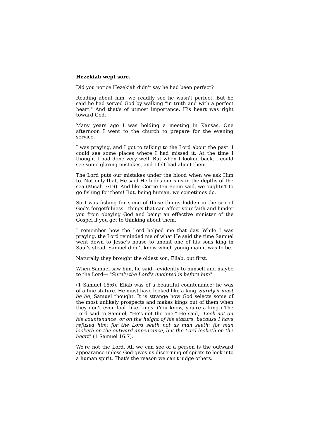#### **Hezekiah wept sore.**

Did you notice Hezekiah didn't say he had been perfect?

Reading about him, we readily see he wasn't perfect. But he said he had served God by walking "in truth and with a perfect heart." And that's of utmost importance. His heart was right toward God.

Many years ago I was holding a meeting in Kansas. One afternoon I went to the church to prepare for the evening service.

I was praying, and I got to talking to the Lord about the past. I could see some places where I had missed it. At the time I thought I had done very well. But when I looked back, I could see some glaring mistakes, and I felt bad about them.

The Lord puts our mistakes under the blood when we ask Him to. Not only that, He said He hides our sins in the depths of the sea (Micah 7:19). And like Corrie ten Boom said, we oughtn't to go fishing for them! But, being human, we sometimes do.

So I was fishing for some of those things hidden in the sea of God's forgetfulness—things that can affect your faith and hinder you from obeying God and being an effective minister of the Gospel if you get to thinking about them.

I remember how the Lord helped me that day. While I was praying, the Lord reminded me of what He said the time Samuel went down to Jesse's house to anoint one of his sons king in Saul's stead. Samuel didn't know which young man it was to be.

Naturally they brought the oldest son, Eliab, out first.

When Samuel saw him, he said—evidently to himself and maybe to the Lord— *"Surely the Lord's anointed is before him"*

(1 Samuel 16:6). Eliab was of a beautiful countenance; he was of a fine stature. He must have looked like a king. *Surely it must be he,* Samuel thought. It is strange how God selects some of the most unlikely prospects and makes kings out of them when they don't even look like kings. (You know, you're a king.) The Lord said to Samuel, "He's not the one." He said, *"Look not on his countenance, or on the height of his stature; because I have refused him: for the Lord seeth not as man seeth; for man looketh on the outward appearance, but the Lord looketh on the heart"* (1 Samuel 16:7).

We're not the Lord. All we can see of a person is the outward appearance unless God gives us discerning of spirits to look into a human spirit. That's the reason we can't judge others.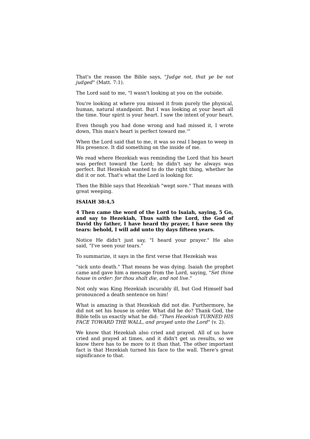That's the reason the Bible says, *"Judge not, that ye be not judged"* (Matt. 7:1).

The Lord said to me, "I wasn't looking at you on the outside.

You're looking at where you missed it from purely the physical, human, natural standpoint. But I was looking at your heart all the time. Your spirit is your heart. I saw the intent of your heart.

Even though you had done wrong and had missed it, I wrote down, This man's heart is perfect toward me.'"

When the Lord said that to me, it was so real I began to weep in His presence. It did something on the inside of me.

We read where Hezekiah was reminding the Lord that his heart was perfect toward the Lord; he didn't say *he* always was perfect. But Hezekiah wanted to do the right thing, whether he did it or not. That's what the Lord is looking for.

Then the Bible says that Hezekiah "wept sore." That means with great weeping.

## **ISAIAH 38:4,5**

**4 Then came the word of the Lord to Isaiah, saying, 5 Go, and say to Hezekiah, Thus saith the Lord, the God of David thy father, I have heard thy prayer, I have seen thy tears: behold, I will add unto thy days fifteen years.**

Notice He didn't just say, "I heard your prayer." He also said, "I've seen your tears."

To summarize, it says in the first verse that Hezekiah was

"sick unto death." That means he was dying. Isaiah the prophet came and gave him a message from the Lord, saying, *"Set thine house in order: for thou shalt die, and not live."*

Not only was King Hezekiah incurably ill, but God Himself had pronounced a death sentence on him!

What is amazing is that Hezekiah did not die. Furthermore, he did not set his house in order. What did he do? Thank God, the Bible tells us exactly what he did: *"Then Hezekiah TURNED HIS FACE TOWARD THE WALL, and prayed unto the Lord"* (v. 2).

We know that Hezekiah also cried and prayed. All of us have cried and prayed at times, and it didn't get us results, so we know there has to be more to it than that. The other important fact is that Hezekiah turned his face to the wall. There's great significance to that.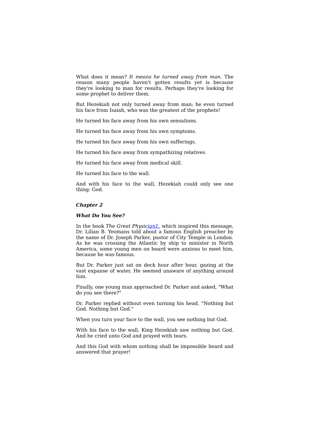What does it mean? *It means he turned away from man.* The reason many people haven't gotten results yet is because they're looking to man for results. Perhaps they're looking for some prophet to deliver them.

But Hezekiah not only turned away from man; he even turned his face from Isaiah, who was the greatest of the prophets!

He turned his face away from his own sensations.

He turned his face away from his own symptoms.

He turned his face away from his own sufferings.

He turned his face away from sympathizing relatives.

He turned his face away from medical skill.

He turned his face to the wall.

And with his face to the wall, Hezekiah could only see one thing: God.

### *Chapter 2*

### *What Do You See?*

In the book *The Great Physician1,* which inspired this message, Dr. Lilian B. Yeomans told about a famous English preacher by the name of Dr. Joseph Parker, pastor of City Temple in London. As he was crossing the Atlantic by ship to minister in North America, some young men on board were anxious to meet him, because he was famous.

But Dr. Parker just sat on deck hour after hour, gazing at the vast expanse of water. He seemed unaware of anything around him.

Finally, one young man approached Dr. Parker and asked, "What do you see there?"

Dr. Parker replied without even turning his head, "Nothing but God. Nothing but God."

When you turn your face to the wall, you see nothing but God.

With his face to the wall, King Hezekiah saw nothing but God. And he cried unto God and prayed with tears.

And this God with whom nothing shall be impossible heard and answered that prayer!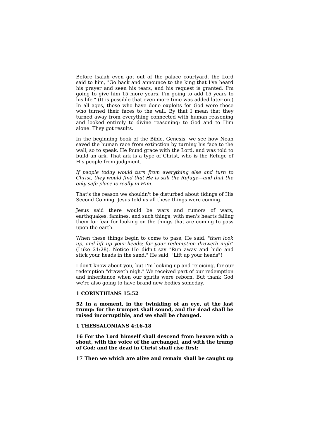Before Isaiah even got out of the palace courtyard, the Lord said to him, "Go back and announce to the king that I've heard his prayer and seen his tears, and his request is granted. I'm going to give him 15 more years. I'm going to add 15 years to his life." (It is possible that even more time was added later on.) In all ages, those who have done exploits for God were those who turned their faces to the wall. By that I mean that they turned away from everything connected with human reasoning and looked entirely to divine reasoning: to God and to Him alone. They got results.

In the beginning book of the Bible, Genesis, we see how Noah saved the human race from extinction by turning his face to the wall, so to speak. He found grace with the Lord, and was told to build an ark. That ark is a type of Christ, who is the Refuge of His people from judgment.

*If people today would turn from everything else and turn to Christ, they would find that He is still the Refuge—and that the only safe place is really in Him.*

That's the reason we shouldn't be disturbed about tidings of His Second Coming. Jesus told us all these things were coming.

Jesus said there would be wars and rumors of wars, earthquakes, famines, and such things, with men's hearts failing them for fear for looking on the things that are coming to pass upon the earth.

When these things begin to come to pass, He said, *"then look up, and lift up your heads; for your redemption draweth nigh"* (Luke 21:28). Notice He didn't say "Run away and hide and stick your heads in the sand." He said, "Lift up your heads"!

I don't know about you, but I'm looking up and rejoicing, for our redemption "draweth nigh." We received part of our redemption and inheritance when our spirits were reborn. But thank God we're also going to have brand new bodies someday.

## **1 CORINTHIANS 15:52**

**52 In a moment, in the twinkling of an eye, at the last trump: for the trumpet shall sound, and the dead shall be raised incorruptible, and we shall be changed.**

#### **1 THESSALONIANS 4:16-18**

**16 For the Lord himself shall descend from heaven with a shout, with the voice of the archangel, and with the trump of God: and the dead in Christ shall rise first:**

**17 Then we which are alive and remain shall be caught up**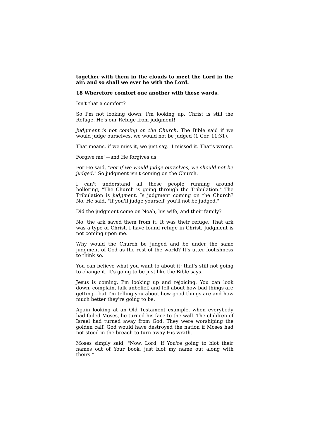## **together with them in the clouds to meet the Lord in the air: and so shall we ever be with the Lord.**

## **18 Wherefore comfort one another with these words.**

Isn't that a comfort?

So I'm not looking down; I'm looking up. Christ is still the Refuge. He's our Refuge from judgment!

*Judgment is not coming on the Church.* The Bible said if we would judge ourselves, we would not be judged (1 Cor. 11:31).

That means, if we miss it, we just say, "I missed it. That's wrong.

Forgive me"—and He forgives us.

For He said, *"For if we would judge ourselves, we should not be judged."* So judgment isn't coming on the Church.

I can't understand all these people running around hollering, "The Church is going through the Tribulation." The Tribulation is *judgment.* Is judgment coming on the Church? No. He said, "If you'll judge yourself, you'll not be judged."

Did the judgment come on Noah, his wife, and their family?

No, the ark saved them from it. It was their refuge. That ark was a type of Christ. I have found refuge in Christ. Judgment is not coming upon me.

Why would the Church be judged and be under the same judgment of God as the rest of the world? It's utter foolishness to think so.

You can believe what you want to about it; that's still not going to change it. It's going to be just like the Bible says.

Jesus is coming. I'm looking up and rejoicing. You can look down, complain, talk unbelief, and tell about how bad things are getting—but I'm telling you about how good things are and how much better they're going to be.

Again looking at an Old Testament example, when everybody had failed Moses, he turned his face to the wall. The children of Israel had turned away from God. They were worshiping the golden calf. God would have destroyed the nation if Moses had not stood in the breach to turn away His wrath.

Moses simply said, "Now, Lord, if You're going to blot their names out of Your book, just blot my name out along with theirs."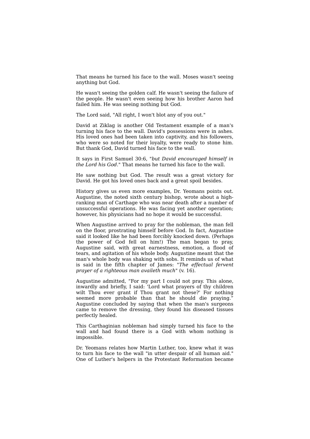That means he turned his face to the wall. Moses wasn't seeing anything but God.

He wasn't seeing the golden calf. He wasn't seeing the failure of the people. He wasn't even seeing how his brother Aaron had failed him. He was seeing nothing but God.

The Lord said, "All right, I won't blot any of you out."

David at Ziklag is another Old Testament example of a man's turning his face to the wall. David's possessions were in ashes. His loved ones had been taken into captivity, and his followers, who were so noted for their loyalty, were ready to stone him. But thank God, David turned his face to the wall.

It says in First Samuel 30:6, *"but David encouraged himself in the Lord his God."* That means he turned his face to the wall.

He saw nothing but God. The result was a great victory for David. He got his loved ones back and a great spoil besides.

History gives us even more examples, Dr. Yeomans points out. Augustine, the noted sixth century bishop, wrote about a highranking man of Carthage who was near death after a number of unsuccessful operations. He was facing yet another operation; however, his physicians had no hope it would be successful.

When Augustine arrived to pray for the nobleman, the man fell on the floor, prostrating himself before God. In fact, Augustine said it looked like he had been forcibly knocked down. (Perhaps the power of God fell on him!) The man began to pray, Augustine said, with great earnestness, emotion, a flood of tears, and agitation of his whole body. Augustine meant that the man's whole body was shaking with sobs. It reminds us of what is said in the fifth chapter of James: *"The effectual fervent prayer of a righteous man availeth much"* (v. 16).

Augustine admitted, "For my part I could not pray. This alone, inwardly and briefly, I said: 'Lord what prayers of thy children wilt Thou ever grant if Thou grant not these?' For nothing seemed more probable than that he should die praying." Augustine concluded by saying that when the man's surgeons came to remove the dressing, they found his diseased tissues perfectly healed.

This Carthaginian nobleman had simply turned his face to the wall and had found there is a God with whom nothing is impossible.

Dr. Yeomans relates how Martin Luther, too, knew what it was to turn his face to the wall "in utter despair of all human aid." One of Luther's helpers in the Protestant Reformation became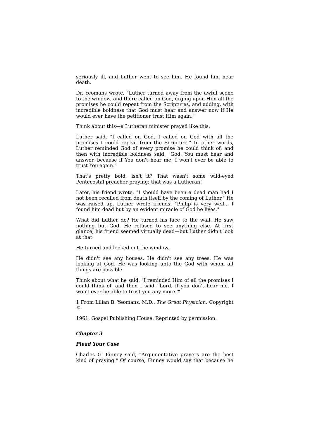seriously ill, and Luther went to see him. He found him near death.

Dr. Yeomans wrote, "Luther turned away from the awful scene to the window, and there called on God, urging upon Him all the promises he could repeat from the Scriptures, and adding, with incredible boldness that God must hear and answer now if He would ever have the petitioner trust Him again."

Think about this—a Lutheran minister prayed like this.

Luther said, "I called on God. I called on God with all the promises I could repeat from the Scripture." In other words, Luther reminded God of every promise he could think of, and then with incredible boldness said, "God, You must hear and answer, because if You don't hear me, I won't ever be able to trust You again."

That's pretty bold, isn't it? That wasn't some wild-eyed Pentecostal preacher praying; that was a Lutheran!

Later, his friend wrote, "I should have been a dead man had I not been recalled from death itself by the coming of Luther." He was raised up. Luther wrote friends, "Philip is very well... I found him dead but by an evident miracle of God he lives."

What did Luther do? He turned his face to the wall. He saw nothing but God. He refused to see anything else. At first glance, his friend seemed virtually dead—but Luther didn't look at that.

He turned and looked out the window.

He didn't see any houses. He didn't see any trees. He was looking at God. He was looking unto the God with whom all things are possible.

Think about what he said, "I reminded Him of all the promises I could think of, and then I said, 'Lord, if you don't hear me, I won't ever be able to trust you any more.'"

1 From Lilian B. Yeomans, M.D., *The Great Physician.* Copyright  $\odot$ 

1961, Gospel Publishing House. Reprinted by permission.

## *Chapter 3*

#### *Plead Your Case*

Charles G. Finney said, "Argumentative prayers are the best kind of praying." Of course, Finney would say that because he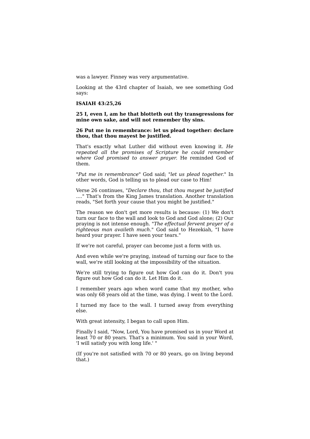was a lawyer. Finney was very argumentative.

Looking at the 43rd chapter of Isaiah, we see something God says:

#### **ISAIAH 43:25,26**

**25 I, even I, am he that blotteth out thy transgressions for mine own sake, and will not remember thy sins.**

## **26 Put me in remembrance: let us plead together: declare thou, that thou mayest be justified.**

That's exactly what Luther did without even knowing it. *He repeated all the promises of Scripture he could remember where God promised to answer prayer.* He reminded God of them.

*"Put me in remembrance"* God said; *"let us plead together."* In other words, God is telling us to plead our case to Him!

Verse 26 continues, *"Declare thou, that thou mayest be justified ...."* That's from the King James translation. Another translation reads, "Set forth your cause that you might be justified."

The reason we don't get more results is because: (1) We don't turn our face to the wall and look to God and God alone; (2) Our praying is not intense enough. *"The effectual fervent prayer of a righteous man availeth much."* God said to Hezekiah, "I have heard your prayer. I have seen your tears."

If we're not careful, prayer can become just a form with us.

And even while we're praying, instead of turning our face to the wall, we're still looking at the impossibility of the situation.

We're still trying to figure out how God can do it. Don't you figure out how God can do it. Let Him do it.

I remember years ago when word came that my mother, who was only 68 years old at the time, was dying. I went to the Lord.

I turned my face to the wall. I turned away from everything else.

With great intensity, I began to call upon Him.

Finally I said, "Now, Lord, You have promised us in your Word at least 70 or 80 years. That's a minimum. You said in your Word, 'I will satisfy you with long life.' "

(If you're not satisfied with 70 or 80 years, go on living beyond that.)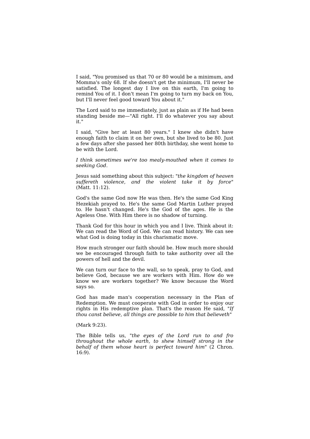I said, "You promised us that 70 or 80 would be a minimum, and Momma's only 68. If she doesn't get the minimum, I'll never be satisfied. The longest day I live on this earth, I'm going to remind You of it. I don't mean I'm going to turn my back on You, but I'll never feel good toward You about it."

The Lord said to me immediately, just as plain as if He had been standing beside me—"All right. I'll do whatever you say about it."

I said, "Give her at least 80 years." I knew she didn't have enough faith to claim it on her own, but she lived to be 80. Just a few days after she passed her 80th birthday, she went home to be with the Lord.

*I think sometimes we're too mealy-mouthed when it comes to seeking God.*

Jesus said something about this subject: *"the kingdom of heaven suffereth violence, and the violent take it by force"* (Matt. 11:12).

God's the same God now He was then. He's the same God King Hezekiah prayed to. He's the same God Martin Luther prayed to. He hasn't changed. He's the God of the ages. He is the Ageless One. With Him there is no shadow of turning.

Thank God for this hour in which you and I live. Think about it: We can read the Word of God. We can read history. We can see what God is doing today in this charismatic move.

How much stronger our faith should be. How much more should we be encouraged through faith to take authority over all the powers of hell and the devil.

We can turn our face to the wall, so to speak, pray to God, and believe God, because we are workers with Him. How do we know we are workers together? We know because the Word says so.

God has made man's cooperation necessary in the Plan of Redemption. We must cooperate with God in order to enjoy our rights in His redemptive plan. That's the reason He said, *"If thou canst believe, all things are possible to him that believeth"*

(Mark 9:23).

The Bible tells us, *"the eyes of the Lord run to and fro throughout the whole earth, to shew himself strong in the behalf of them whose heart is perfect toward him"* (2 Chron. 16:9).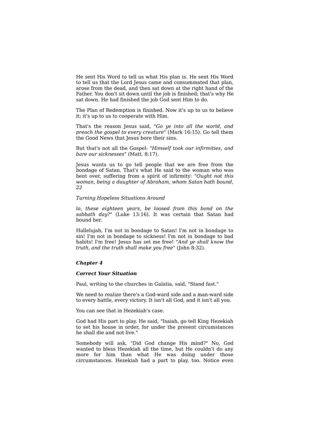He sent His Word to tell us what His plan is. He sent His Word to tell us that the Lord Jesus came and consummated that plan, arose from the dead, and then sat down at the right hand of the Father. You don't sit down until the job is finished; that's why He sat down. He had finished the job God sent Him to do.

The Plan of Redemption is finished. Now it's up to us to believe it; it's up to us to cooperate with Him.

That's the reason Jesus said, *"Go ye into all the world, and preach the gospel to every creature"* (Mark 16:15). Go tell them the Good News that Jesus bore their sins.

But that's not all the Gospel: *"Himself took our infirmities, and bare our sicknesses"* (Matt. 8:17).

Jesus wants us to go tell people that we are free from the bondage of Satan. That's what He said to the woman who was bent over, suffering from a spirit of infirmity: *"Ought not this woman, being a daughter of Abraham, whom Satan hath bound, 22*

## *Turning Hopeless Situations Around*

*lo, these eighteen years, be loosed from this bond on the sabbath day?"* (Luke 13:16). It was certain that Satan had bound her.

Hallelujah, I'm not in bondage to Satan! I'm not in bondage to sin! I'm not in bondage to sickness! I'm not in bondage to bad habits! I'm free! Jesus has set me free! *"And ye shall know the truth, and the truth shall make you free"* (John 8:32).

### *Chapter 4*

#### *Correct Your Situation*

Paul, writing to the churches in Galatia, said, "Stand fast."

We need to realize there's a God-ward side and a man-ward side to every battle, every victory. It isn't all God, and it isn't all you.

You can see that in Hezekiah's case.

God had His part to play. He said, "Isaiah, go tell King Hezekiah to set his house in order, for under the present circumstances he shall die and not live."

Somebody will ask, "Did God change His mind?" No, God wanted to bless Hezekiah all the time, but He couldn't do any more for him than what He was doing under those circumstances. Hezekiah had a part to play, too. Notice even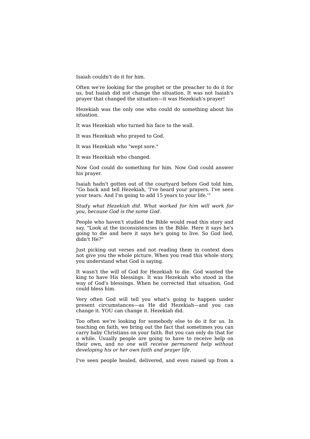Isaiah couldn't do it for him.

Often we're looking for the prophet or the preacher to do it for us, but Isaiah did not change the situation. It was not Isaiah's prayer that changed the situation—it was Hezekiah's prayer!

Hezekiah was the only one who could do something about his situation.

It was Hezekiah who turned his face to the wall.

It was Hezekiah who prayed to God.

It was Hezekiah who "wept sore."

It was Hezekiah who changed.

Now God could do something for him. Now God could answer his prayer.

Isaiah hadn't gotten out of the courtyard before God told him, "Go back and tell Hezekiah, 'I've heard your prayers. I've seen your tears. And I'm going to add 15 years to your life.'"

*Study what Hezekiah did. What worked for him will work for you, because God is the same God.*

People who haven't studied the Bible would read this story and say, "Look at the inconsistencies in the Bible. Here it says he's going to die and here it says he's going to live. So God lied, didn't He?"

Just picking out verses and not reading them in context does not give you the whole picture. When you read this whole story, you understand what God is saying.

It wasn't the will of God for Hezekiah to die. God wanted the king to have His blessings. It was Hezekiah who stood in the way of God's blessings. When he corrected that situation, God could bless him.

Very often God will tell you what's going to happen under present circumstances—as He did Hezekiah—and you can change it. YOU can change it. Hezekiah did.

Too often we're looking for somebody else to do it for us. In teaching on faith, we bring out the fact that sometimes you can carry baby Christians on your faith. But you can only do that for a while. Usually people are going to have to receive help on their own, and *no one will receive permanent help without developing his or her own faith and prayer life.*

I've seen people healed, delivered, and even raised up from a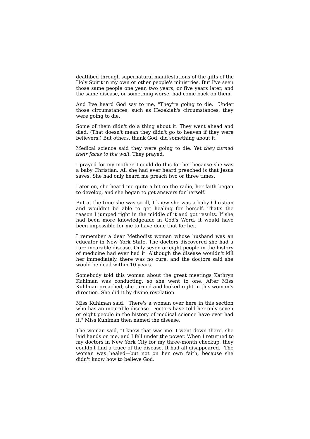deathbed through supernatural manifestations of the gifts of the Holy Spirit in my own or other people's ministries. But I've seen those same people one year, two years, or five years later, and the same disease, or something worse, had come back on them.

And I've heard God say to me, "They're going to die." Under those circumstances, such as Hezekiah's circumstances, they were going to die.

Some of them didn't do a thing about it. They went ahead and died. (That doesn't mean they didn't go to heaven if they were believers.) But others, thank God, did something about it.

Medical science said they were going to die. Yet *they turned their faces to the wall.* They prayed.

I prayed for my mother. I could do this for her because she was a baby Christian. All she had ever heard preached is that Jesus saves. She had only heard me preach two or three times.

Later on, she heard me quite a bit on the radio, her faith began to develop, and she began to get answers for herself.

But at the time she was so ill, I knew she was a baby Christian and wouldn't be able to get healing for herself. That's the reason I jumped right in the middle of it and got results. If she had been more knowledgeable in God's Word, it would have been impossible for me to have done that for her.

I remember a dear Methodist woman whose husband was an educator in New York State. The doctors discovered she had a rare incurable disease. Only seven or eight people in the history of medicine had ever had it. Although the disease wouldn't kill her immediately, there was no cure, and the doctors said she would be dead within 10 years.

Somebody told this woman about the great meetings Kathryn Kuhlman was conducting, so she went to one. After Miss Kuhlman preached, she turned and looked right in this woman's direction. She did it by divine revelation.

Miss Kuhlman said, "There's a woman over here in this section who has an incurable disease. Doctors have told her only seven or eight people in the history of medical science have ever had it." Miss Kuhlman then named the disease.

The woman said, "I knew that was me. I went down there, she laid hands on me, and I fell under the power. When I returned to my doctors in New York City for my three-month checkup, they couldn't find a trace of the disease. It had all disappeared." The woman was healed—but not on her own faith, because she didn't know how to believe God.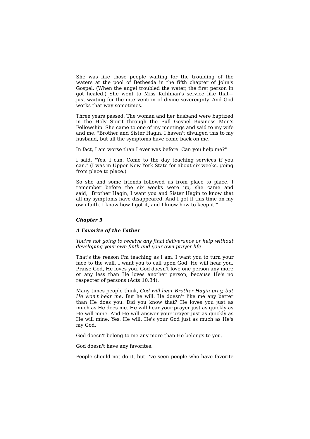She was like those people waiting for the troubling of the waters at the pool of Bethesda in the fifth chapter of John's Gospel. (When the angel troubled the water, the first person in got healed.) She went to Miss Kuhlman's service like that just waiting for the intervention of divine sovereignty. And God works that way sometimes.

Three years passed. The woman and her husband were baptized in the Holy Spirit through the Full Gospel Business Men's Fellowship. She came to one of my meetings and said to my wife and me, "Brother and Sister Hagin, I haven't divulged this to my husband, but all the symptoms have come back on me.

In fact, I am worse than I ever was before. Can you help me?"

I said, "Yes, I can. Come to the day teaching services if you can." (I was in Upper New York State for about six weeks, going from place to place.)

So she and some friends followed us from place to place. I remember before the six weeks were up, she came and said, "Brother Hagin, I want you and Sister Hagin to know that all my symptoms have disappeared. And I got it this time on my own faith. I know how I got it, and I know how to keep it!"

## *Chapter 5*

## *A Favorite of the Father*

*You're not going to receive any final deliverance or help without developing your own faith and your own prayer life.*

That's the reason I'm teaching as I am. I want you to turn your face to the wall. I want you to call upon God. He will hear you. Praise God, He loves you. God doesn't love one person any more or any less than He loves another person, because He's no respecter of persons (Acts 10:34).

Many times people think, *God will hear Brother Hagin pray, but He won't hear me*. But he will. He doesn't like me any better than He does you. Did you know that? He loves you just as much as He does me. He will hear your prayer just as quickly as He will mine. And He will answer your prayer just as quickly as He will mine. Yes, He will. He's your God just as much as He's my God.

God doesn't belong to me any more than He belongs to you.

God doesn't have any favorites.

People should not do it, but I've seen people who have favorite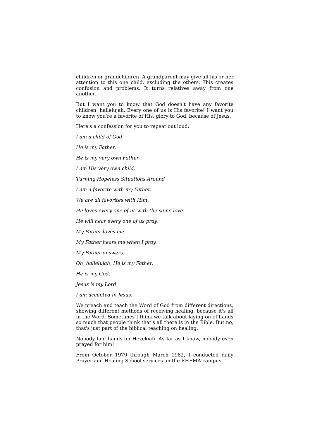children or grandchildren. A grandparent may give all his or her attention to this one child, excluding the others. This creates confusion and problems. It turns relatives away from one another.

But I want you to know that God doesn't have any favorite children, hallelujah. Every one of us is His favorite! I want you to know you're a favorite of His, glory to God, because of Jesus.

Here's a confession for you to repeat out loud:

*I am a child of God.*

*He is my Father.*

*He is my very own Father.*

*I am His very own child.*

*Turning Hopeless Situations Around*

*I am a favorite with my Father.*

*We are all favorites with Him.*

*He loves every one of us with the same love.*

*He will hear every one of us pray.*

*My Father loves me.*

*My Father hears me when I pray.*

*My Father answers.*

*Oh, hallelujah, He is my Father.*

*He is my God.*

*Jesus is my Lord.*

*I am accepted in Jesus.*

We preach and teach the Word of God from different directions, showing different methods of receiving healing, because it's all in the Word. Sometimes I think we talk about laying on of hands so much that people think that's all there is in the Bible. But no, that's just part of the biblical teaching on healing.

Nobody laid hands on Hezekiah. As far as I know, nobody even prayed for him!

From October 1979 through March 1982, I conducted daily Prayer and Healing School services on the RHEMA campus.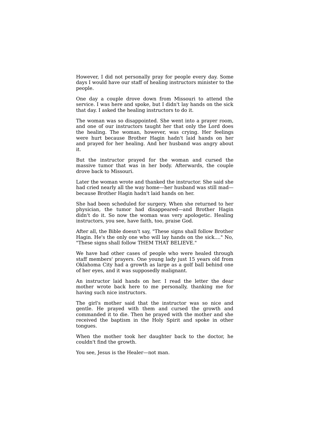However, I did not personally pray for people every day. Some days I would have our staff of healing instructors minister to the people.

One day a couple drove down from Missouri to attend the service. I was here and spoke, but I didn't lay hands on the sick that day. I asked the healing instructors to do it.

The woman was so disappointed. She went into a prayer room, and one of our instructors taught her that only the Lord does the healing. The woman, however, was crying. Her feelings were hurt because Brother Hagin hadn't laid hands on her and prayed for her healing. And her husband was angry about it.

But the instructor prayed for the woman and cursed the massive tumor that was in her body. Afterwards, the couple drove back to Missouri.

Later the woman wrote and thanked the instructor. She said she had cried nearly all the way home—her husband was still mad because Brother Hagin hadn't laid hands on her.

She had been scheduled for surgery. When she returned to her physician, the tumor had disappeared—and Brother Hagin didn't do it. So now the woman was very apologetic. Healing instructors, you see, have faith, too, praise God.

After all, the Bible doesn't say, "These signs shall follow Brother Hagin. He's the only one who will lay hands on the sick...." No, "These signs shall follow THEM THAT BELIEVE."

We have had other cases of people who were healed through staff members' prayers. One young lady just 15 years old from Oklahoma City had a growth as large as a golf ball behind one of her eyes, and it was supposedly malignant.

An instructor laid hands on her. I read the letter the dear mother wrote back here to me personally, thanking me for having such nice instructors.

The girl's mother said that the instructor was so nice and gentle. He prayed with them and cursed the growth and commanded it to die. Then he prayed with the mother and she received the baptism in the Holy Spirit and spoke in other tongues.

When the mother took her daughter back to the doctor, he couldn't find the growth.

You see, Jesus is the Healer—not man.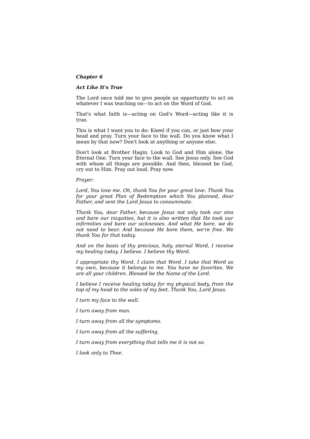## *Chapter 6*

#### *Act Like It's True*

The Lord once told me to give people an opportunity to act on whatever I was teaching on—to act on the Word of God.

That's what faith is—acting on God's Word—acting like it is true.

This is what I want you to do: Kneel if you can, or just bow your head and pray. Turn your face to the wall. Do you know what I mean by that now? Don't look at anything or anyone else.

Don't look at Brother Hagin. Look to God and Him alone, the Eternal One. Turn your face to the wall. See Jesus only. See God with whom all things are possible. And then, blessed be God, cry out to Him. Pray out loud. Pray now.

#### *Prayer:*

*Lord, You love me. Oh, thank You for your great love. Thank You for your great Plan of Redemption which You planned, dear Father, and sent the Lord Jesus to consummate.*

*Thank You, dear Father, because Jesus not only took our sins and bare our iniquities, but it is also written that He took our infirmities and bare our sicknesses. And what He bore, we do not need to bear. And because He bore them, we're free. We thank You for that today.*

*And on the basis of thy precious, holy, eternal Word, I receive my healing today. I believe. I believe thy Word.*

*I appropriate thy Word. I claim that Word. I take that Word as my own, because it belongs to me. You have no favorites. We are all your children. Blessed be the Name of the Lord.*

*I believe I receive healing today for my physical body, from the top of my head to the soles of my feet. Thank You, Lord Jesus.*

*I turn my face to the wall.*

*I turn away from man.*

*I turn away from all the symptoms.*

*I turn away from all the suffering.*

*I turn away from everything that tells me it is not so.*

*I look only to Thee.*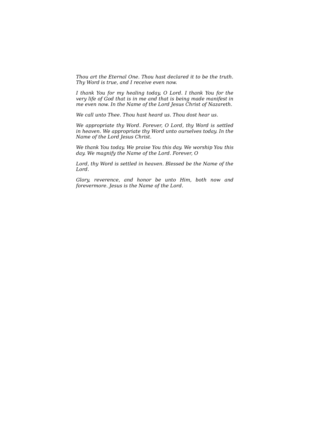*Thou art the Eternal One. Thou hast declared it to be the truth. Thy Word is true, and I receive even now.*

*I thank You for my healing today, O Lord. I thank You for the very life of God that is in me and that is being made manifest in me even now. In the Name of the Lord Jesus Christ of Nazareth.*

*We call unto Thee. Thou hast heard us. Thou dost hear us.*

*We appropriate thy Word. Forever, O Lord, thy Word is settled in heaven. We appropriate thy Word unto ourselves today. In the Name of the Lord Jesus Christ.*

*We thank You today. We praise You this day. We worship You this day. We magnify the Name of the Lord. Forever, O*

*Lord, thy Word is settled in heaven. Blessed be the Name of the Lord.*

*Glory, reverence, and honor be unto Him, both now and forevermore. Jesus is the Name of the Lord.*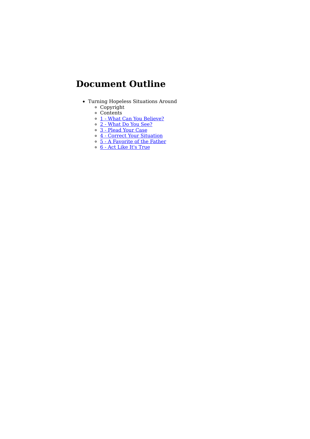# **Document Outline**

- Turning Hopeless Situations Around
	- Copyright
	- Contents
	- o 1 What Can You Believe?
	- 2 What Do You See?
	- 3 Plead Your Case
	- 4 Correct Your Situation
	- 5 A Favorite of the Father
	- <u>6 Act Like It's True</u>